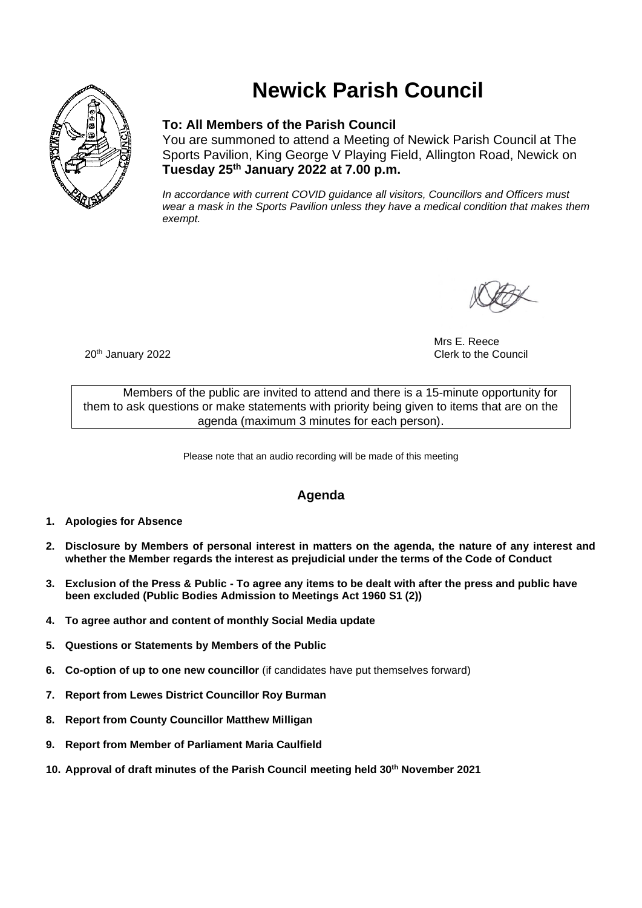

# **Newick Parish Council**

### **To: All Members of the Parish Council**

You are summoned to attend a Meeting of Newick Parish Council at The Sports Pavilion, King George V Playing Field, Allington Road, Newick on **Tuesday 25th January 2022 at 7.00 p.m.** 

*In accordance with current COVID guidance all visitors, Councillors and Officers must wear a mask in the Sports Pavilion unless they have a medical condition that makes them exempt.*

Mrs E. Reece 20<sup>th</sup> January 2022 20th January 2022 20th January 2022

Members of the public are invited to attend and there is a 15-minute opportunity for them to ask questions or make statements with priority being given to items that are on the agenda (maximum 3 minutes for each person).

Please note that an audio recording will be made of this meeting

## **Agenda**

- **1. Apologies for Absence**
- **2. Disclosure by Members of personal interest in matters on the agenda, the nature of any interest and whether the Member regards the interest as prejudicial under the terms of the Code of Conduct**
- **3. Exclusion of the Press & Public - To agree any items to be dealt with after the press and public have been excluded (Public Bodies Admission to Meetings Act 1960 S1 (2))**
- **4. To agree author and content of monthly Social Media update**
- **5. Questions or Statements by Members of the Public**
- **6. Co-option of up to one new councillor** (if candidates have put themselves forward)
- **7. Report from Lewes District Councillor Roy Burman**
- **8. Report from County Councillor Matthew Milligan**
- **9. Report from Member of Parliament Maria Caulfield**
- **10. Approval of draft minutes of the Parish Council meeting held 30th November 2021**